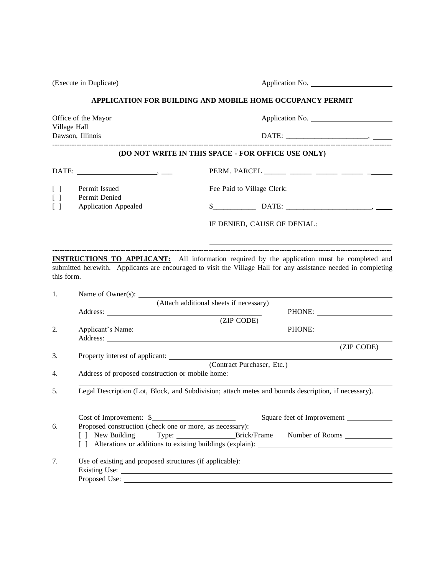(Execute in Duplicate) Application No. **APPLICATION FOR BUILDING AND MOBILE HOME OCCUPANCY PERMIT** Office of the Mayor Application No. Village Hall Dawson, Illinois DATE: \_\_\_\_\_\_\_\_\_\_\_\_\_\_\_\_\_\_\_\_\_\_\_, ------------------------------------------------------------------------------------------------------------------------------------------- **(DO NOT WRITE IN THIS SPACE - FOR OFFICE USE ONLY)** DATE: , \_\_\_ PERM. PARCEL \_\_\_\_\_\_ \_\_\_\_\_\_ \_\_\_\_\_\_ \_\_\_\_\_\_ \_ [ ] Permit Issued Fee Paid to Village Clerk: [ ] Permit Denied [ ] Application Appealed \$\_\_\_\_\_\_\_\_\_\_\_\_ DATE: \_\_\_\_\_\_\_\_\_\_\_\_\_\_\_\_\_\_\_\_\_\_\_\_, IF DENIED, CAUSE OF DENIAL: ------------------------------------------------------------------------------------------------------------------------------------------- **INSTRUCTIONS TO APPLICANT:** All information required by the application must be completed and submitted herewith. Applicants are encouraged to visit the Village Hall for any assistance needed in completing this form. 1. Name of Owner(s): \_\_\_\_\_\_ (Attach additional sheets if necessary) Address: PHONE: (ZIP CODE) 2. Applicant's Name: Next, 2008. PHONE: Next, 2008. PHONE: Name: Next, 2008. PHONE: Next, 2008. PHONE: Next, 2008. PHONE: Next, 2008. PHONE: Next, 2008. PHONE: Next, 2008. PHONE: Next, 2008. PHONE: Next, 2008. PHONE: Next, Address: (ZIP CODE) 3. Property interest of applicant: (Contract Purchaser, Etc.) 4. Address of proposed construction or mobile home: 5. Legal Description (Lot, Block, and Subdivision; attach metes and bounds description, if necessary). Cost of Improvement: \$ 6. Proposed construction (check one or more, as necessary): [ ] New Building Type: Brick/Frame Number of Rooms [ ] Alterations or additions to existing buildings (explain): 7. Use of existing and proposed structures (if applicable): Existing Use:

Proposed Use: